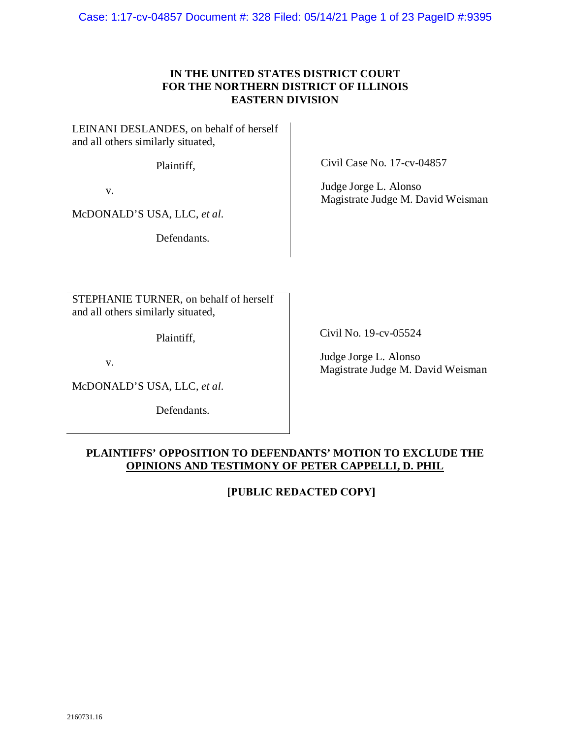Case: 1:17-cv-04857 Document #: 328 Filed: 05/14/21 Page 1 of 23 PageID #:9395

### **IN THE UNITED STATES DISTRICT COURT FOR THE NORTHERN DISTRICT OF ILLINOIS EASTERN DIVISION**

LEINANI DESLANDES, on behalf of herself and all others similarly situated,

Plaintiff,

v.

McDONALD'S USA, LLC, *et al.*

Defendants.

STEPHANIE TURNER, on behalf of herself and all others similarly situated,

Plaintiff,

v.

McDONALD'S USA, LLC, *et al.*

Defendants.

Civil Case No. 17-cv-04857

Judge Jorge L. Alonso Magistrate Judge M. David Weisman

Civil No. 19-cv-05524

Judge Jorge L. Alonso Magistrate Judge M. David Weisman

### **PLAINTIFFS' OPPOSITION TO DEFENDANTS' MOTION TO EXCLUDE THE OPINIONS AND TESTIMONY OF PETER CAPPELLI, D. PHIL**

**[PUBLIC REDACTED COPY]**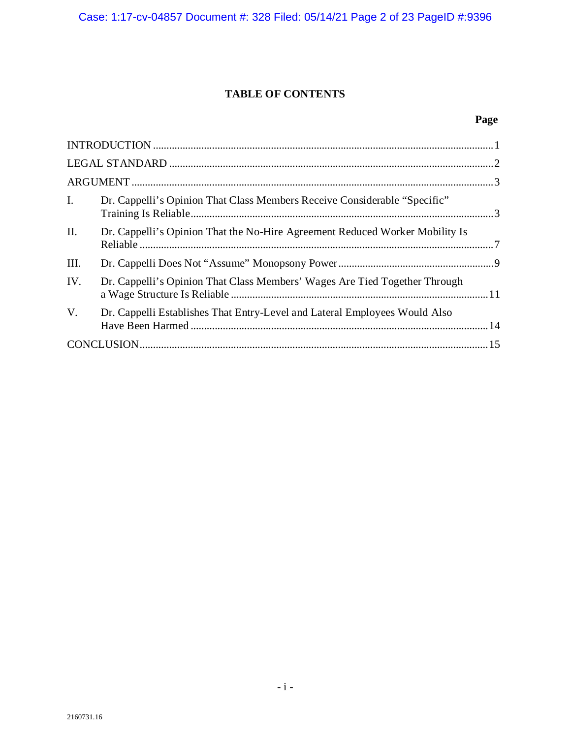# **TABLE OF CONTENTS**

# **Page**

| $\mathbf{I}$ . | Dr. Cappelli's Opinion That Class Members Receive Considerable "Specific"    |  |  |
|----------------|------------------------------------------------------------------------------|--|--|
| II.            | Dr. Cappelli's Opinion That the No-Hire Agreement Reduced Worker Mobility Is |  |  |
| Ш.             |                                                                              |  |  |
| IV.            | Dr. Cappelli's Opinion That Class Members' Wages Are Tied Together Through   |  |  |
| $V_{\cdot}$    | Dr. Cappelli Establishes That Entry-Level and Lateral Employees Would Also   |  |  |
|                |                                                                              |  |  |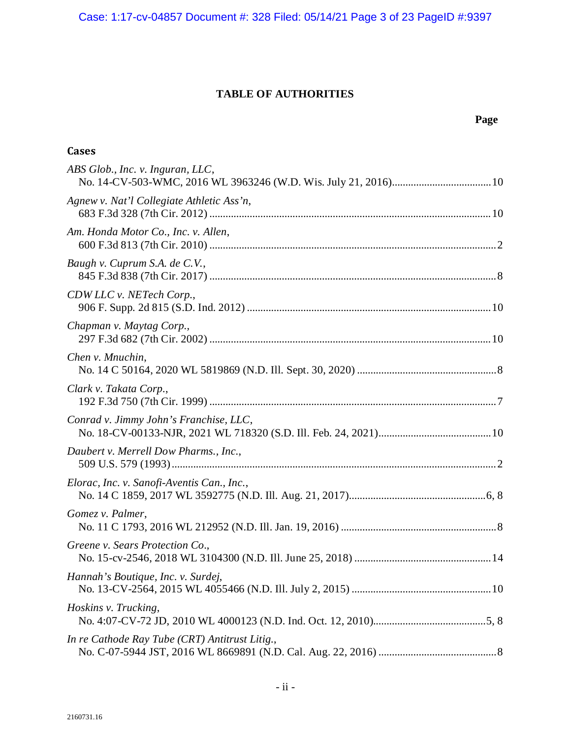Case: 1:17-cv-04857 Document #: 328 Filed: 05/14/21 Page 3 of 23 PageID #:9397

# **TABLE OF AUTHORITIES**

# **Page**

| <b>Cases</b>                                   |
|------------------------------------------------|
| ABS Glob., Inc. v. Inguran, LLC,               |
| Agnew v. Nat'l Collegiate Athletic Ass'n,      |
| Am. Honda Motor Co., Inc. v. Allen,            |
| Baugh v. Cuprum S.A. de C.V.,                  |
| CDW LLC v. NETech Corp.,                       |
| Chapman v. Maytag Corp.,                       |
| Chen v. Mnuchin,                               |
| Clark v. Takata Corp.,                         |
| Conrad v. Jimmy John's Franchise, LLC,         |
| Daubert v. Merrell Dow Pharms., Inc.,          |
| Elorac, Inc. v. Sanofi-Aventis Can., Inc.,     |
| Gomez v. Palmer,                               |
| Greene v. Sears Protection Co.,                |
| Hannah's Boutique, Inc. v. Surdej,             |
| Hoskins v. Trucking,                           |
| In re Cathode Ray Tube (CRT) Antitrust Litig., |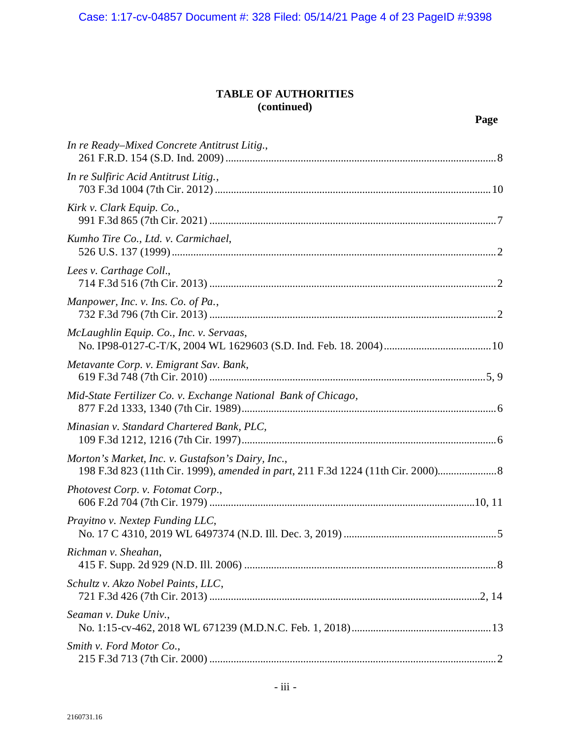## **TABLE OF AUTHORITIES (continued)**

| In re Ready–Mixed Concrete Antitrust Litig.,                                                                                        |
|-------------------------------------------------------------------------------------------------------------------------------------|
| In re Sulfiric Acid Antitrust Litig.,                                                                                               |
| Kirk v. Clark Equip. Co.,                                                                                                           |
| Kumho Tire Co., Ltd. v. Carmichael,                                                                                                 |
| Lees v. Carthage Coll.,                                                                                                             |
| Manpower, Inc. v. Ins. Co. of Pa.,                                                                                                  |
| McLaughlin Equip. Co., Inc. v. Servaas,                                                                                             |
| Metavante Corp. v. Emigrant Sav. Bank,                                                                                              |
| Mid-State Fertilizer Co. v. Exchange National Bank of Chicago,                                                                      |
| Minasian v. Standard Chartered Bank, PLC,                                                                                           |
| Morton's Market, Inc. v. Gustafson's Dairy, Inc.,<br>198 F.3d 823 (11th Cir. 1999), amended in part, 211 F.3d 1224 (11th Cir. 2000) |
| Photovest Corp. v. Fotomat Corp.,                                                                                                   |
| Prayitno v. Nextep Funding LLC,                                                                                                     |
| Richman v. Sheahan,                                                                                                                 |
| Schultz v. Akzo Nobel Paints, LLC,                                                                                                  |
| Seaman v. Duke Univ.,                                                                                                               |
| Smith v. Ford Motor Co.,                                                                                                            |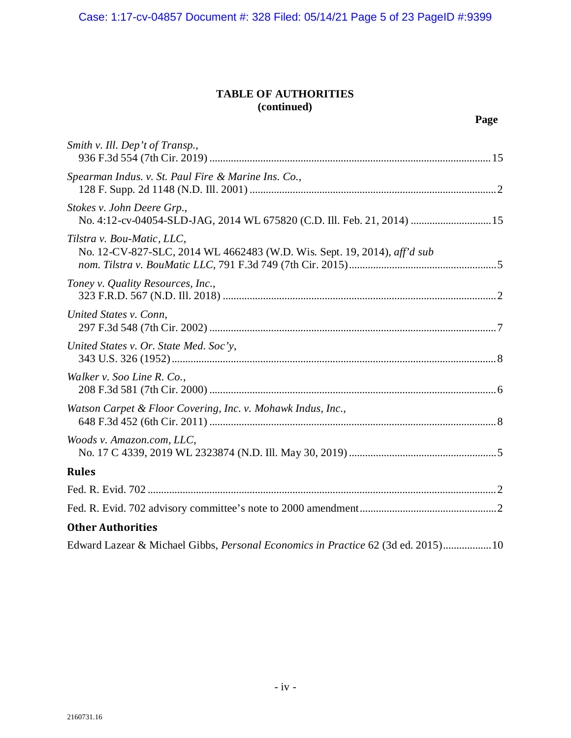## **TABLE OF AUTHORITIES (continued)**

| Smith v. Ill. Dep't of Transp.,                                                                        |
|--------------------------------------------------------------------------------------------------------|
| Spearman Indus. v. St. Paul Fire & Marine Ins. Co.,                                                    |
| Stokes v. John Deere Grp.,<br>No. 4:12-cv-04054-SLD-JAG, 2014 WL 675820 (C.D. Ill. Feb. 21, 2014)  15  |
| Tilstra v. Bou-Matic, LLC,<br>No. 12-CV-827-SLC, 2014 WL 4662483 (W.D. Wis. Sept. 19, 2014), aff'd sub |
| Toney v. Quality Resources, Inc.,                                                                      |
| United States v. Conn,                                                                                 |
| United States v. Or. State Med. Soc'y,                                                                 |
| Walker v. Soo Line R. Co.,                                                                             |
| Watson Carpet & Floor Covering, Inc. v. Mohawk Indus, Inc.,                                            |
| Woods v. Amazon.com, LLC,                                                                              |
| <b>Rules</b>                                                                                           |
|                                                                                                        |
|                                                                                                        |
| <b>Other Authorities</b>                                                                               |
| Edward Lazear & Michael Gibbs, Personal Economics in Practice 62 (3d ed. 2015) 10                      |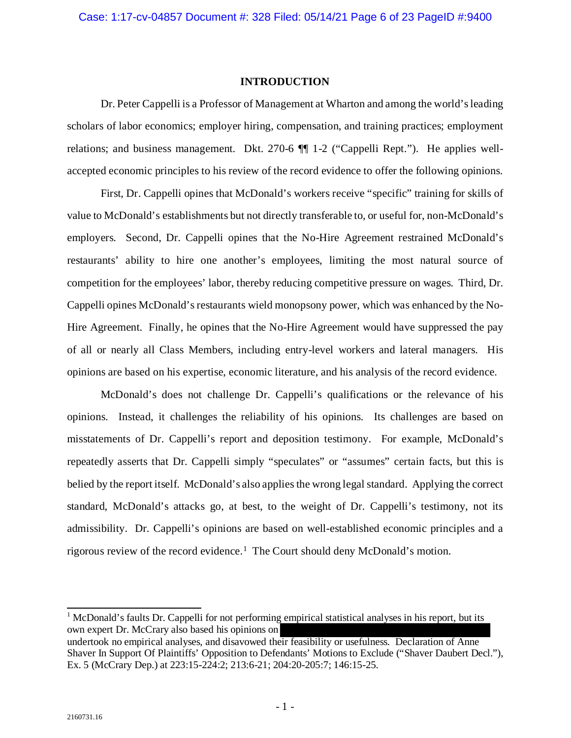#### **INTRODUCTION**

<span id="page-5-0"></span>Dr. Peter Cappelli is a Professor of Management at Wharton and among the world's leading scholars of labor economics; employer hiring, compensation, and training practices; employment relations; and business management. Dkt. 270-6 ¶¶ 1-2 ("Cappelli Rept."). He applies wellaccepted economic principles to his review of the record evidence to offer the following opinions.

First, Dr. Cappelli opines that McDonald's workers receive "specific" training for skills of value to McDonald's establishments but not directly transferable to, or useful for, non-McDonald's employers. Second, Dr. Cappelli opines that the No-Hire Agreement restrained McDonald's restaurants' ability to hire one another's employees, limiting the most natural source of competition for the employees' labor, thereby reducing competitive pressure on wages. Third, Dr. Cappelli opines McDonald's restaurants wield monopsony power, which was enhanced by the No-Hire Agreement. Finally, he opines that the No-Hire Agreement would have suppressed the pay of all or nearly all Class Members, including entry-level workers and lateral managers. His opinions are based on his expertise, economic literature, and his analysis of the record evidence.

McDonald's does not challenge Dr. Cappelli's qualifications or the relevance of his opinions. Instead, it challenges the reliability of his opinions. Its challenges are based on misstatements of Dr. Cappelli's report and deposition testimony. For example, McDonald's repeatedly asserts that Dr. Cappelli simply "speculates" or "assumes" certain facts, but this is belied by the report itself. McDonald's also applies the wrong legal standard. Applying the correct standard, McDonald's attacks go, at best, to the weight of Dr. Cappelli's testimony, not its admissibility. Dr. Cappelli's opinions are based on well-established economic principles and a rigorous review of the record evidence.[1](#page-5-1) The Court should deny McDonald's motion.

<span id="page-5-1"></span><sup>1</sup> McDonald's faults Dr. Cappelli for not performing empirical statistical analyses in his report, but its own expert Dr. McCrary also based his opinions on undertook no empirical analyses, and disavowed their feasibility or usefulness. Declaration of Anne Shaver In Support Of Plaintiffs' Opposition to Defendants' Motions to Exclude ("Shaver Daubert Decl."), Ex. 5 (McCrary Dep.) at 223:15-224:2; 213:6-21; 204:20-205:7; 146:15-25.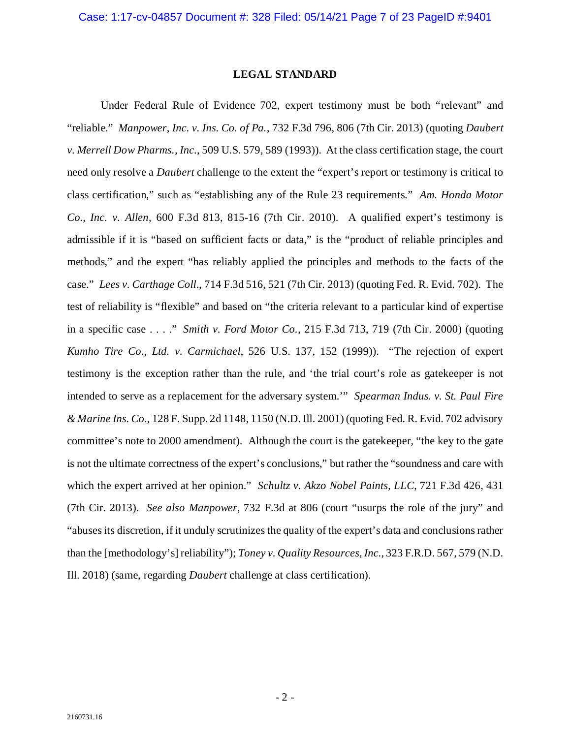#### **LEGAL STANDARD**

<span id="page-6-0"></span>Under Federal Rule of Evidence 702, expert testimony must be both "relevant" and "reliable." *Manpower, Inc. v. Ins. Co. of Pa.*, 732 F.3d 796, 806 (7th Cir. 2013) (quoting *Daubert v. Merrell Dow Pharms., Inc.*, 509 U.S. 579, 589 (1993)). At the class certification stage, the court need only resolve a *Daubert* challenge to the extent the "expert's report or testimony is critical to class certification," such as "establishing any of the Rule 23 requirements." *Am. Honda Motor Co., Inc. v. Allen*, 600 F.3d 813, 815-16 (7th Cir. 2010). A qualified expert's testimony is admissible if it is "based on sufficient facts or data," is the "product of reliable principles and methods," and the expert "has reliably applied the principles and methods to the facts of the case." *Lees v. Carthage Coll*., 714 F.3d 516, 521 (7th Cir. 2013) (quoting Fed. R. Evid. 702). The test of reliability is "flexible" and based on "the criteria relevant to a particular kind of expertise in a specific case . . . ." *Smith v. Ford Motor Co.*, 215 F.3d 713, 719 (7th Cir. 2000) (quoting *Kumho Tire Co., Ltd. v. Carmichael*, 526 U.S. 137, 152 (1999)). "The rejection of expert testimony is the exception rather than the rule, and 'the trial court's role as gatekeeper is not intended to serve as a replacement for the adversary system.'" *Spearman Indus. v. St. Paul Fire & Marine Ins. Co.*, 128 F. Supp. 2d 1148, 1150 (N.D. Ill. 2001) (quoting Fed. R. Evid. 702 advisory committee's note to 2000 amendment). Although the court is the gatekeeper, "the key to the gate is not the ultimate correctness of the expert's conclusions," but rather the "soundness and care with which the expert arrived at her opinion." *Schultz v. Akzo Nobel Paints, LLC*, 721 F.3d 426, 431 (7th Cir. 2013). *See also Manpower*, 732 F.3d at 806 (court "usurps the role of the jury" and "abuses its discretion, if it unduly scrutinizes the quality of the expert's data and conclusions rather than the [methodology's] reliability"); *Toney v. Quality Resources, Inc.*, 323 F.R.D. 567, 579 (N.D. Ill. 2018) (same, regarding *Daubert* challenge at class certification).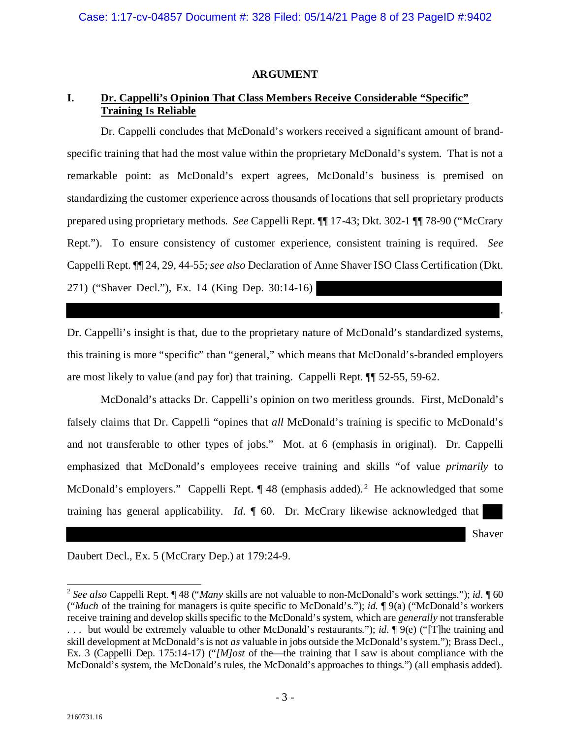### **ARGUMENT**

## <span id="page-7-1"></span><span id="page-7-0"></span>**I. Dr. Cappelli's Opinion That Class Members Receive Considerable "Specific" Training Is Reliable**

Dr. Cappelli concludes that McDonald's workers received a significant amount of brandspecific training that had the most value within the proprietary McDonald's system. That is not a remarkable point: as McDonald's expert agrees, McDonald's business is premised on standardizing the customer experience across thousands of locations that sell proprietary products prepared using proprietary methods. *See* Cappelli Rept. ¶¶ 17-43; Dkt. 302-1 ¶¶ 78-90 ("McCrary Rept."). To ensure consistency of customer experience, consistent training is required. *See*  Cappelli Rept. ¶¶ 24, 29, 44-55; *see also* Declaration of Anne Shaver ISO Class Certification (Dkt. 271) ("Shaver Decl."), Ex. 14 (King Dep. 30:14-16)

Dr. Cappelli's insight is that, due to the proprietary nature of McDonald's standardized systems, this training is more "specific" than "general," which means that McDonald's-branded employers are most likely to value (and pay for) that training. Cappelli Rept. ¶¶ 52-55, 59-62.

McDonald's attacks Dr. Cappelli's opinion on two meritless grounds. First, McDonald's falsely claims that Dr. Cappelli "opines that *all* McDonald's training is specific to McDonald's and not transferable to other types of jobs." Mot. at 6 (emphasis in original). Dr. Cappelli emphasized that McDonald's employees receive training and skills "of value *primarily* to McDonald's employers." Cappelli Rept.  $\P$  48 (emphasis added).<sup>[2](#page-7-2)</sup> He acknowledged that some training has general applicability. *Id*. ¶ 60. Dr. McCrary likewise acknowledged that

Shaver

.

Daubert Decl., Ex. 5 (McCrary Dep.) at 179:24-9.

<span id="page-7-2"></span><sup>2</sup> *See also* Cappelli Rept. ¶ 48 ("*Many* skills are not valuable to non-McDonald's work settings."); *id.* ¶ 60 ("*Much* of the training for managers is quite specific to McDonald's."); *id.* ¶ 9(a) ("McDonald's workers receive training and develop skills specific to the McDonald's system, which are *generally* not transferable . . . but would be extremely valuable to other McDonald's restaurants."); *id.* ¶ 9(e) ("[T]he training and skill development at McDonald's is not *as* valuable in jobs outside the McDonald's system."); Brass Decl., Ex. 3 (Cappelli Dep. 175:14-17) ("*[M]ost* of the—the training that I saw is about compliance with the McDonald's system, the McDonald's rules, the McDonald's approaches to things.") (all emphasis added).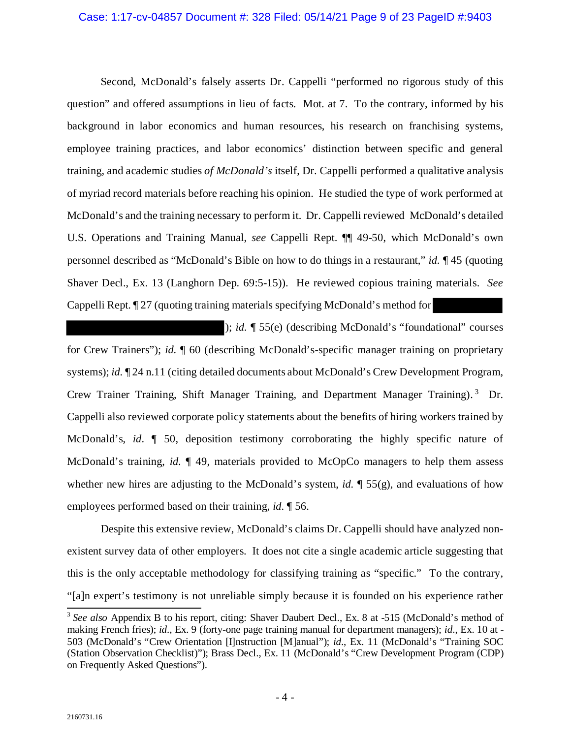#### Case: 1:17-cv-04857 Document #: 328 Filed: 05/14/21 Page 9 of 23 PageID #:9403

Second, McDonald's falsely asserts Dr. Cappelli "performed no rigorous study of this question" and offered assumptions in lieu of facts. Mot. at 7. To the contrary, informed by his background in labor economics and human resources, his research on franchising systems, employee training practices, and labor economics' distinction between specific and general training, and academic studies *of McDonald's* itself, Dr. Cappelli performed a qualitative analysis of myriad record materials before reaching his opinion. He studied the type of work performed at McDonald's and the training necessary to perform it. Dr. Cappelli reviewed McDonald's detailed U.S. Operations and Training Manual, *see* Cappelli Rept. ¶¶ 49-50, which McDonald's own personnel described as "McDonald's Bible on how to do things in a restaurant," *id.* ¶ 45 (quoting Shaver Decl., Ex. 13 (Langhorn Dep. 69:5-15)). He reviewed copious training materials. *See* Cappelli Rept. ¶ 27 (quoting training materials specifying McDonald's method for

); *id.* ¶ 55(e) (describing McDonald's "foundational" courses for Crew Trainers"); *id.* ¶ 60 (describing McDonald's-specific manager training on proprietary systems); *id.*  $\P$  24 n.11 (citing detailed documents about McDonald's Crew Development Program, Crew Trainer Training, Shift Manager Training, and Department Manager Training). [3](#page-8-0) Dr. Cappelli also reviewed corporate policy statements about the benefits of hiring workers trained by McDonald's, *id*. ¶ 50, deposition testimony corroborating the highly specific nature of McDonald's training, *id.* ¶ 49, materials provided to McOpCo managers to help them assess whether new hires are adjusting to the McDonald's system, *id.*  $\P$  55(g), and evaluations of how employees performed based on their training, *id.* ¶ 56.

Despite this extensive review, McDonald's claims Dr. Cappelli should have analyzed nonexistent survey data of other employers. It does not cite a single academic article suggesting that this is the only acceptable methodology for classifying training as "specific." To the contrary, "[a]n expert's testimony is not unreliable simply because it is founded on his experience rather

<span id="page-8-0"></span><sup>&</sup>lt;sup>3</sup> See also Appendix B to his report, citing: Shaver Daubert Decl., Ex. 8 at -515 (McDonald's method of making French fries); *id.*, Ex. 9 (forty-one page training manual for department managers); *id.*, Ex. 10 at - 503 (McDonald's "Crew Orientation [I]nstruction [M]anual"); *id.*, Ex. 11 (McDonald's "Training SOC (Station Observation Checklist)"); Brass Decl., Ex. 11 (McDonald's "Crew Development Program (CDP) on Frequently Asked Questions").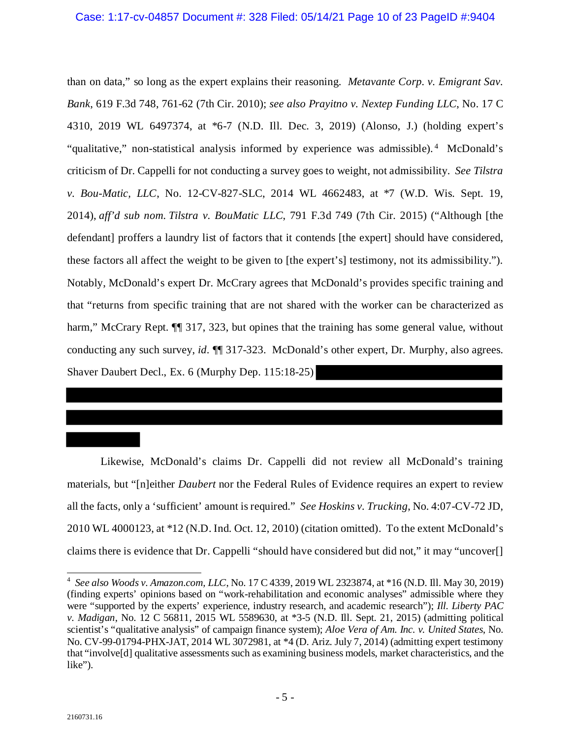than on data," so long as the expert explains their reasoning. *Metavante Corp. v. Emigrant Sav. Bank*, 619 F.3d 748, 761-62 (7th Cir. 2010); *see also Prayitno v. Nextep Funding LLC*, No. 17 C 4310, 2019 WL 6497374, at \*6-7 (N.D. Ill. Dec. 3, 2019) (Alonso, J.) (holding expert's "qualitative," non-statistical analysis informed by experience was admissible).<sup>[4](#page-9-0)</sup> McDonald's criticism of Dr. Cappelli for not conducting a survey goes to weight, not admissibility. *See Tilstra v. Bou-Matic, LLC*, No. 12-CV-827-SLC, 2014 WL 4662483, at \*7 (W.D. Wis. Sept. 19, 2014), *aff'd sub nom. Tilstra v. BouMatic LLC*, 791 F.3d 749 (7th Cir. 2015) ("Although [the defendant] proffers a laundry list of factors that it contends [the expert] should have considered, these factors all affect the weight to be given to [the expert's] testimony, not its admissibility."). Notably, McDonald's expert Dr. McCrary agrees that McDonald's provides specific training and that "returns from specific training that are not shared with the worker can be characterized as harm," McCrary Rept.  $\P$  317, 323, but opines that the training has some general value, without conducting any such survey, *id*. ¶¶ 317-323. McDonald's other expert, Dr. Murphy, also agrees. Shaver Daubert Decl., Ex. 6 (Murphy Dep. 115:18-25)

Likewise, McDonald's claims Dr. Cappelli did not review all McDonald's training materials, but "[n]either *Daubert* nor the Federal Rules of Evidence requires an expert to review all the facts, only a 'sufficient' amount is required." *See Hoskins v. Trucking*, No. 4:07-CV-72 JD, 2010 WL 4000123, at \*12 (N.D. Ind. Oct. 12, 2010) (citation omitted). To the extent McDonald's claims there is evidence that Dr. Cappelli "should have considered but did not," it may "uncover[]

<span id="page-9-0"></span> 4 *See also Woods v. Amazon.com, LLC*, No. 17 C 4339, 2019 WL 2323874, at \*16 (N.D. Ill. May 30, 2019) (finding experts' opinions based on "work-rehabilitation and economic analyses" admissible where they were "supported by the experts' experience, industry research, and academic research"); *Ill. Liberty PAC v. Madigan*, No. 12 C 56811, 2015 WL 5589630, at \*3-5 (N.D. Ill. Sept. 21, 2015) (admitting political scientist's "qualitative analysis" of campaign finance system); *Aloe Vera of Am. Inc. v. United States*, No. No. CV-99-01794-PHX-JAT, 2014 WL 3072981, at \*4 (D. Ariz. July 7, 2014) (admitting expert testimony that "involve[d] qualitative assessments such as examining business models, market characteristics, and the like").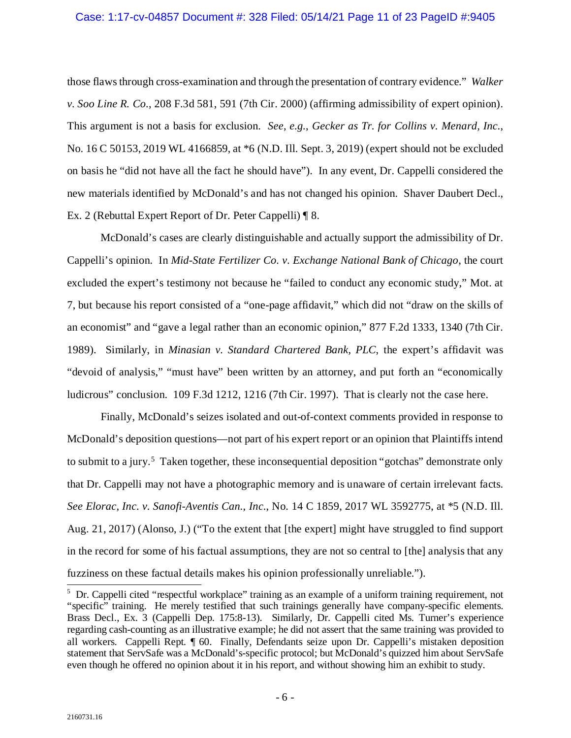those flaws through cross-examination and through the presentation of contrary evidence." *Walker v. Soo Line R. Co.*, 208 F.3d 581, 591 (7th Cir. 2000) (affirming admissibility of expert opinion). This argument is not a basis for exclusion. *See*, *e.g.*, *Gecker as Tr. for Collins v. Menard, Inc.*, No. 16 C 50153, 2019 WL 4166859, at \*6 (N.D. Ill. Sept. 3, 2019) (expert should not be excluded on basis he "did not have all the fact he should have"). In any event, Dr. Cappelli considered the new materials identified by McDonald's and has not changed his opinion. Shaver Daubert Decl., Ex. 2 (Rebuttal Expert Report of Dr. Peter Cappelli) ¶ 8.

McDonald's cases are clearly distinguishable and actually support the admissibility of Dr. Cappelli's opinion. In *Mid-State Fertilizer Co. v. Exchange National Bank of Chicago*, the court excluded the expert's testimony not because he "failed to conduct any economic study," Mot. at 7, but because his report consisted of a "one-page affidavit," which did not "draw on the skills of an economist" and "gave a legal rather than an economic opinion," 877 F.2d 1333, 1340 (7th Cir. 1989). Similarly, in *Minasian v. Standard Chartered Bank, PLC*, the expert's affidavit was "devoid of analysis," "must have" been written by an attorney, and put forth an "economically ludicrous" conclusion. 109 F.3d 1212, 1216 (7th Cir. 1997). That is clearly not the case here.

Finally, McDonald's seizes isolated and out-of-context comments provided in response to McDonald's deposition questions—not part of his expert report or an opinion that Plaintiffs intend to submit to a jury.<sup>5</sup> Taken together, these inconsequential deposition "gotchas" demonstrate only that Dr. Cappelli may not have a photographic memory and is unaware of certain irrelevant facts. *See Elorac, Inc. v. Sanofi-Aventis Can., Inc.*, No. 14 C 1859, 2017 WL 3592775, at \*5 (N.D. Ill. Aug. 21, 2017) (Alonso, J.) ("To the extent that [the expert] might have struggled to find support in the record for some of his factual assumptions, they are not so central to [the] analysis that any fuzziness on these factual details makes his opinion professionally unreliable."). 5

<span id="page-10-0"></span> $5$  Dr. Cappelli cited "respectful workplace" training as an example of a uniform training requirement, not "specific" training. He merely testified that such trainings generally have company-specific elements. Brass Decl., Ex. 3 (Cappelli Dep. 175:8-13). Similarly, Dr. Cappelli cited Ms. Turner's experience regarding cash-counting as an illustrative example; he did not assert that the same training was provided to all workers. Cappelli Rept. ¶ 60. Finally, Defendants seize upon Dr. Cappelli's mistaken deposition statement that ServSafe was a McDonald's-specific protocol; but McDonald's quizzed him about ServSafe even though he offered no opinion about it in his report, and without showing him an exhibit to study.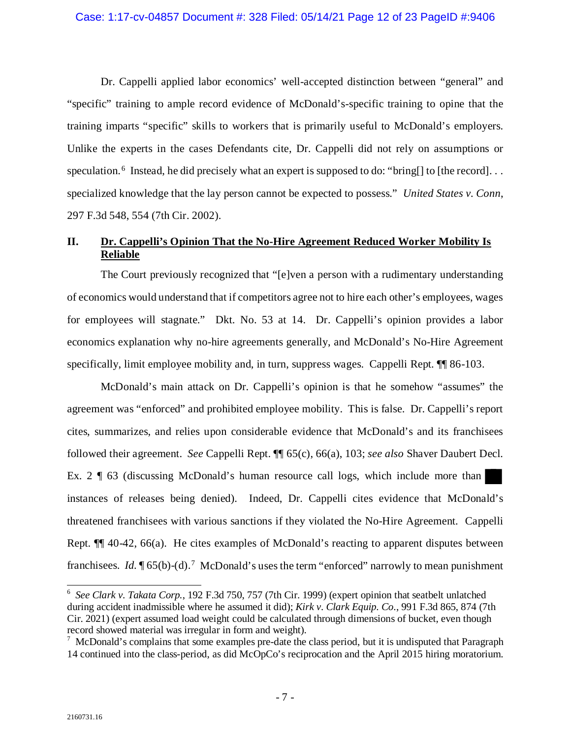Dr. Cappelli applied labor economics' well-accepted distinction between "general" and "specific" training to ample record evidence of McDonald's-specific training to opine that the training imparts "specific" skills to workers that is primarily useful to McDonald's employers. Unlike the experts in the cases Defendants cite, Dr. Cappelli did not rely on assumptions or speculation.<sup>[6](#page-11-1)</sup> Instead, he did precisely what an expert is supposed to do: "bring[] to [the record]... specialized knowledge that the lay person cannot be expected to possess." *United States v. Conn*, 297 F.3d 548, 554 (7th Cir. 2002).

## <span id="page-11-0"></span>**II. Dr. Cappelli's Opinion That the No-Hire Agreement Reduced Worker Mobility Is Reliable**

The Court previously recognized that "[e]ven a person with a rudimentary understanding of economics would understand that if competitors agree not to hire each other's employees, wages for employees will stagnate." Dkt. No. 53 at 14. Dr. Cappelli's opinion provides a labor economics explanation why no-hire agreements generally, and McDonald's No-Hire Agreement specifically, limit employee mobility and, in turn, suppress wages. Cappelli Rept.  $\P$  86-103.

McDonald's main attack on Dr. Cappelli's opinion is that he somehow "assumes" the agreement was "enforced" and prohibited employee mobility. This is false. Dr. Cappelli's report cites, summarizes, and relies upon considerable evidence that McDonald's and its franchisees followed their agreement. *See* Cappelli Rept. ¶¶ 65(c), 66(a), 103; *see also* Shaver Daubert Decl. Ex. 2 ¶ 63 (discussing McDonald's human resource call logs, which include more than instances of releases being denied). Indeed, Dr. Cappelli cites evidence that McDonald's threatened franchisees with various sanctions if they violated the No-Hire Agreement. Cappelli Rept. ¶¶ 40-42, 66(a). He cites examples of McDonald's reacting to apparent disputes between franchisees. *Id.*  $\sqrt{\phantom{a}}$  65(b)-(d).<sup>[7](#page-11-2)</sup> McDonald's uses the term "enforced" narrowly to mean punishment

<span id="page-11-1"></span><sup>6</sup> *See Clark v. Takata Corp.*, 192 F.3d 750, 757 (7th Cir. 1999) (expert opinion that seatbelt unlatched during accident inadmissible where he assumed it did); *Kirk v. Clark Equip. Co.*, 991 F.3d 865, 874 (7th Cir. 2021) (expert assumed load weight could be calculated through dimensions of bucket, even though record showed material was irregular in form and weight).

<span id="page-11-2"></span> $7$  McDonald's complains that some examples pre-date the class period, but it is undisputed that Paragraph 14 continued into the class-period, as did McOpCo's reciprocation and the April 2015 hiring moratorium.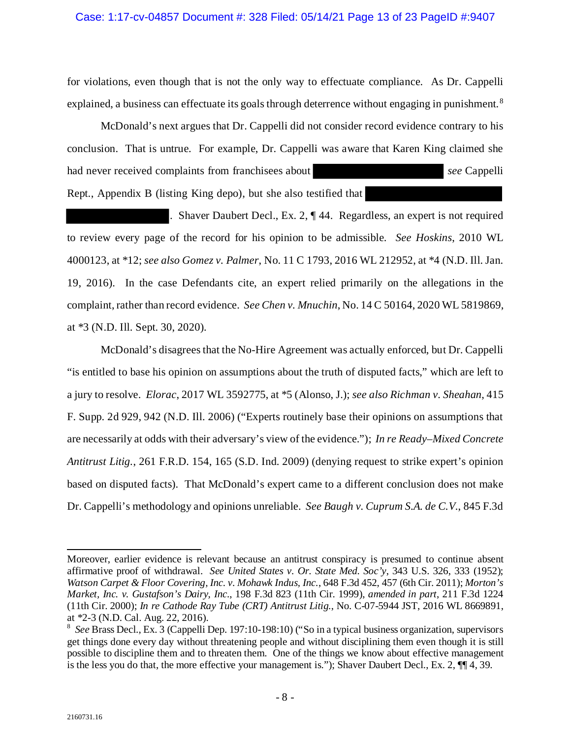#### Case: 1:17-cv-04857 Document #: 328 Filed: 05/14/21 Page 13 of 23 PageID #:9407

for violations, even though that is not the only way to effectuate compliance. As Dr. Cappelli explained, a business can effectuate its goals through deterrence without engaging in punishment.<sup>[8](#page-12-0)</sup>

McDonald's next argues that Dr. Cappelli did not consider record evidence contrary to his conclusion. That is untrue. For example, Dr. Cappelli was aware that Karen King claimed she had never received complaints from franchisees about *see* Cappelli Rept., Appendix B (listing King depo), but she also testified that

. Shaver Daubert Decl., Ex. 2, ¶ 44. Regardless, an expert is not required to review every page of the record for his opinion to be admissible. *See Hoskins*, 2010 WL 4000123, at \*12; *see also Gomez v. Palmer*, No. 11 C 1793, 2016 WL 212952, at \*4 (N.D. Ill. Jan. 19, 2016). In the case Defendants cite, an expert relied primarily on the allegations in the complaint, rather than record evidence. *See Chen v. Mnuchin*, No. 14 C 50164, 2020 WL 5819869, at \*3 (N.D. Ill. Sept. 30, 2020)*.* 

McDonald's disagrees that the No-Hire Agreement was actually enforced, but Dr. Cappelli "is entitled to base his opinion on assumptions about the truth of disputed facts," which are left to a jury to resolve. *Elorac*, 2017 WL 3592775, at \*5 (Alonso, J.); *see also Richman v. Sheahan*, 415 F. Supp. 2d 929, 942 (N.D. Ill. 2006) ("Experts routinely base their opinions on assumptions that are necessarily at odds with their adversary's view of the evidence."); *In re Ready–Mixed Concrete Antitrust Litig.*, 261 F.R.D. 154, 165 (S.D. Ind. 2009) (denying request to strike expert's opinion based on disputed facts). That McDonald's expert came to a different conclusion does not make Dr. Cappelli's methodology and opinions unreliable. *See Baugh v. Cuprum S.A. de C.V.*, 845 F.3d

Moreover, earlier evidence is relevant because an antitrust conspiracy is presumed to continue absent affirmative proof of withdrawal. *See United States v. Or. State Med. Soc'y*, 343 U.S. 326, 333 (1952); *Watson Carpet & Floor Covering, Inc. v. Mohawk Indus, Inc.*, 648 F.3d 452, 457 (6th Cir. 2011); *Morton's Market, Inc. v. Gustafson's Dairy, Inc.*, 198 F.3d 823 (11th Cir. 1999), *amended in part*, 211 F.3d 1224 (11th Cir. 2000); *In re Cathode Ray Tube (CRT) Antitrust Litig.*, No. C-07-5944 JST, 2016 WL 8669891, at \*2-3 (N.D. Cal. Aug. 22, 2016). 8

<span id="page-12-0"></span>*See* Brass Decl., Ex. 3 (Cappelli Dep. 197:10-198:10) ("So in a typical business organization, supervisors get things done every day without threatening people and without disciplining them even though it is still possible to discipline them and to threaten them. One of the things we know about effective management is the less you do that, the more effective your management is."); Shaver Daubert Decl., Ex. 2, ¶¶ 4, 39.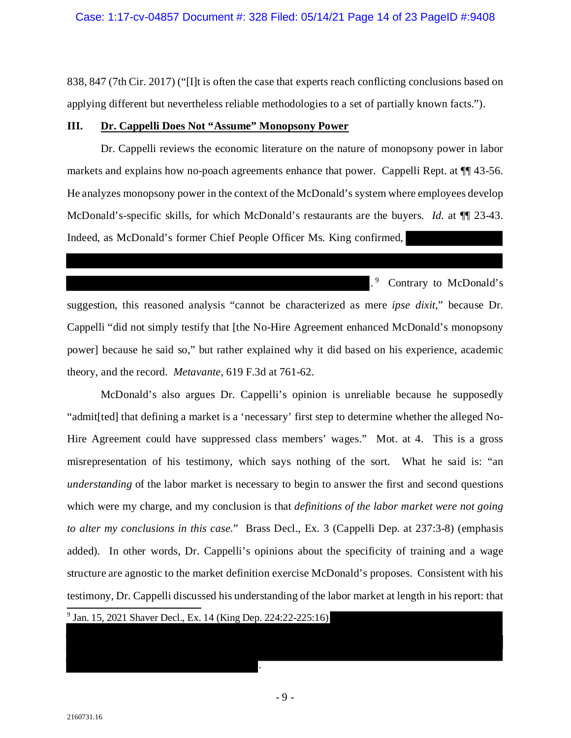838, 847 (7th Cir. 2017) ("[I]t is often the case that experts reach conflicting conclusions based on applying different but nevertheless reliable methodologies to a set of partially known facts.").

#### <span id="page-13-0"></span>**III. Dr. Cappelli Does Not "Assume" Monopsony Power**

Dr. Cappelli reviews the economic literature on the nature of monopsony power in labor markets and explains how no-poach agreements enhance that power. Cappelli Rept. at ¶¶ 43-56. He analyzes monopsony power in the context of the McDonald's system where employees develop McDonald's-specific skills, for which McDonald's restaurants are the buyers. *Id.* at  $\P$  23-43. Indeed, as McDonald's former Chief People Officer Ms. King confirmed,

.<sup>[9](#page-13-1)</sup> Contrary to McDonald's suggestion, this reasoned analysis "cannot be characterized as mere *ipse dixit*," because Dr. Cappelli "did not simply testify that [the No-Hire Agreement enhanced McDonald's monopsony power] because he said so," but rather explained why it did based on his experience, academic theory, and the record. *Metavante*, 619 F.3d at 761-62.

McDonald's also argues Dr. Cappelli's opinion is unreliable because he supposedly "admit[ted] that defining a market is a 'necessary' first step to determine whether the alleged No-Hire Agreement could have suppressed class members' wages." Mot. at 4. This is a gross misrepresentation of his testimony, which says nothing of the sort. What he said is: "an *understanding* of the labor market is necessary to begin to answer the first and second questions which were my charge, and my conclusion is that *definitions of the labor market were not going to alter my conclusions in this case.*" Brass Decl., Ex. 3 (Cappelli Dep. at 237:3-8) (emphasis added). In other words, Dr. Cappelli's opinions about the specificity of training and a wage structure are agnostic to the market definition exercise McDonald's proposes. Consistent with his testimony, Dr. Cappelli discussed his understanding of the labor market at length in his report: that  $\overline{\phantom{a}}$ 

<span id="page-13-1"></span><sup>9</sup> Jan. 15, 2021 Shaver Decl., Ex. 14 (King Dep. 224:22-225:16)

.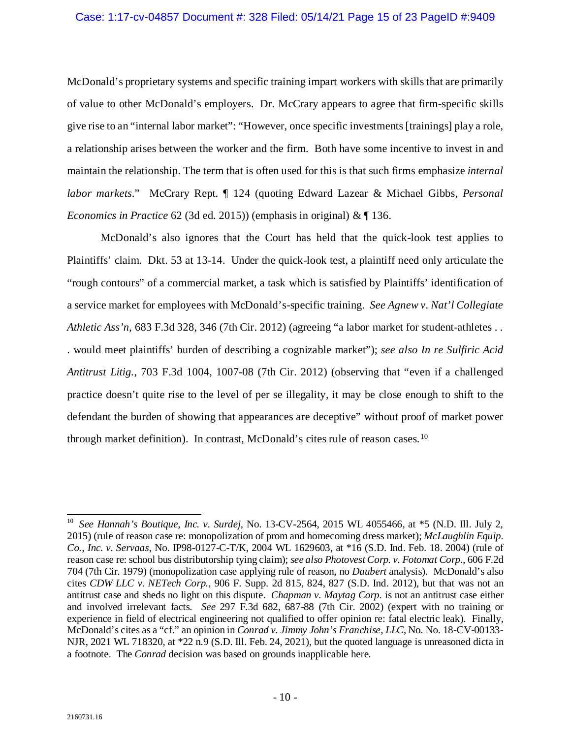#### Case: 1:17-cv-04857 Document #: 328 Filed: 05/14/21 Page 15 of 23 PageID #:9409

McDonald's proprietary systems and specific training impart workers with skills that are primarily of value to other McDonald's employers. Dr. McCrary appears to agree that firm-specific skills give rise to an "internal labor market": "However, once specific investments [trainings] play a role, a relationship arises between the worker and the firm. Both have some incentive to invest in and maintain the relationship. The term that is often used for this is that such firms emphasize *internal labor markets*." McCrary Rept. ¶ 124 (quoting Edward Lazear & Michael Gibbs, *Personal Economics in Practice* 62 (3d ed. 2015)) (emphasis in original) & ¶ 136.

McDonald's also ignores that the Court has held that the quick-look test applies to Plaintiffs' claim. Dkt. 53 at 13-14. Under the quick-look test, a plaintiff need only articulate the "rough contours" of a commercial market, a task which is satisfied by Plaintiffs' identification of a service market for employees with McDonald's-specific training. *See Agnew v. Nat'l Collegiate Athletic Ass'n*, 683 F.3d 328, 346 (7th Cir. 2012) (agreeing "a labor market for student-athletes . . . would meet plaintiffs' burden of describing a cognizable market"); *see also In re Sulfiric Acid Antitrust Litig.*, 703 F.3d 1004, 1007-08 (7th Cir. 2012) (observing that "even if a challenged practice doesn't quite rise to the level of per se illegality, it may be close enough to shift to the defendant the burden of showing that appearances are deceptive" without proof of market power through market definition). In contrast, McDonald's cites rule of reason cases.[10](#page-14-0)

<span id="page-14-0"></span> <sup>10</sup> *See Hannah's Boutique, Inc. v. Surdej*, No. 13-CV-2564, 2015 WL 4055466, at \*5 (N.D. Ill. July 2, 2015) (rule of reason case re: monopolization of prom and homecoming dress market); *McLaughlin Equip. Co., Inc. v. Servaas*, No. IP98-0127-C-T/K, 2004 WL 1629603, at \*16 (S.D. Ind. Feb. 18. 2004) (rule of reason case re: school bus distributorship tying claim); *see also Photovest Corp. v. Fotomat Corp.*, 606 F.2d 704 (7th Cir. 1979) (monopolization case applying rule of reason, no *Daubert* analysis). McDonald's also cites *CDW LLC v. NETech Corp.*, 906 F. Supp. 2d 815, 824, 827 (S.D. Ind. 2012), but that was not an antitrust case and sheds no light on this dispute. *Chapman v. Maytag Corp.* is not an antitrust case either and involved irrelevant facts. *See* 297 F.3d 682, 687-88 (7th Cir. 2002) (expert with no training or experience in field of electrical engineering not qualified to offer opinion re: fatal electric leak). Finally, McDonald's cites as a "cf." an opinion in *Conrad v. Jimmy John's Franchise, LLC*, No. No. 18-CV-00133- NJR, 2021 WL 718320, at \*22 n.9 (S.D. Ill. Feb. 24, 2021), but the quoted language is unreasoned dicta in a footnote. The *Conrad* decision was based on grounds inapplicable here.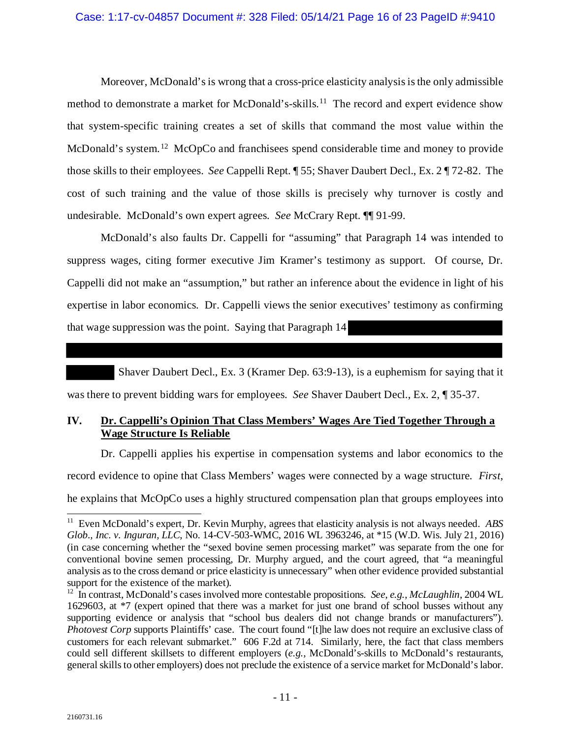#### Case: 1:17-cv-04857 Document #: 328 Filed: 05/14/21 Page 16 of 23 PageID #:9410

Moreover, McDonald's is wrong that a cross-price elasticity analysis is the only admissible method to demonstrate a market for McDonald's-skills.<sup>11</sup> The record and expert evidence show that system-specific training creates a set of skills that command the most value within the McDonald's system.<sup>[12](#page-15-2)</sup> McOpCo and franchisees spend considerable time and money to provide those skills to their employees. *See* Cappelli Rept. ¶ 55; Shaver Daubert Decl., Ex. 2 ¶ 72-82. The cost of such training and the value of those skills is precisely why turnover is costly and undesirable. McDonald's own expert agrees. *See* McCrary Rept. ¶¶ 91-99.

McDonald's also faults Dr. Cappelli for "assuming" that Paragraph 14 was intended to suppress wages, citing former executive Jim Kramer's testimony as support. Of course, Dr. Cappelli did not make an "assumption," but rather an inference about the evidence in light of his expertise in labor economics. Dr. Cappelli views the senior executives' testimony as confirming that wage suppression was the point. Saying that Paragraph 14

Shaver Daubert Decl., Ex. 3 (Kramer Dep. 63:9-13), is a euphemism for saying that it

was there to prevent bidding wars for employees. *See* Shaver Daubert Decl., Ex. 2, ¶ 35-37.

### <span id="page-15-0"></span>**IV. Dr. Cappelli's Opinion That Class Members' Wages Are Tied Together Through a Wage Structure Is Reliable**

Dr. Cappelli applies his expertise in compensation systems and labor economics to the

record evidence to opine that Class Members' wages were connected by a wage structure. *First*,

he explains that McOpCo uses a highly structured compensation plan that groups employees into

<span id="page-15-1"></span> $\overline{\phantom{a}}$ 11 Even McDonald's expert, Dr. Kevin Murphy, agrees that elasticity analysis is not always needed. *ABS Glob., Inc. v. Inguran, LLC*, No. 14-CV-503-WMC, 2016 WL 3963246, at \*15 (W.D. Wis. July 21, 2016) (in case concerning whether the "sexed bovine semen processing market" was separate from the one for conventional bovine semen processing, Dr. Murphy argued, and the court agreed, that "a meaningful analysis as to the cross demand or price elasticity is unnecessary" when other evidence provided substantial support for the existence of the market).

<span id="page-15-2"></span><sup>12</sup> In contrast, McDonald's cases involved more contestable propositions. *See*, *e.g.*, *McLaughlin*, 2004 WL 1629603, at \*7 (expert opined that there was a market for just one brand of school busses without any supporting evidence or analysis that "school bus dealers did not change brands or manufacturers"). *Photovest Corp* supports Plaintiffs' case. The court found "[t]he law does not require an exclusive class of customers for each relevant submarket." 606 F.2d at 714*.* Similarly, here, the fact that class members could sell different skillsets to different employers (*e.g.*, McDonald's-skills to McDonald's restaurants, general skills to other employers) does not preclude the existence of a service market for McDonald's labor.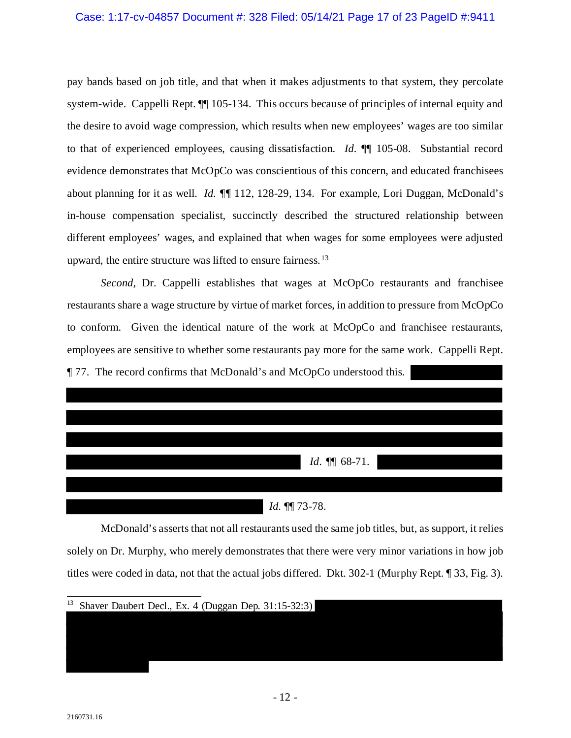#### Case: 1:17-cv-04857 Document #: 328 Filed: 05/14/21 Page 17 of 23 PageID #:9411

pay bands based on job title, and that when it makes adjustments to that system, they percolate system-wide. Cappelli Rept.  $\P$  105-134. This occurs because of principles of internal equity and the desire to avoid wage compression, which results when new employees' wages are too similar to that of experienced employees, causing dissatisfaction. *Id.* ¶¶ 105-08. Substantial record evidence demonstrates that McOpCo was conscientious of this concern, and educated franchisees about planning for it as well. *Id. ¶¶* 112, 128-29, 134. For example, Lori Duggan, McDonald's in-house compensation specialist, succinctly described the structured relationship between different employees' wages, and explained that when wages for some employees were adjusted upward, the entire structure was lifted to ensure fairness.<sup>[13](#page-16-0)</sup>

*Second*, Dr. Cappelli establishes that wages at McOpCo restaurants and franchisee restaurants share a wage structure by virtue of market forces, in addition to pressure from McOpCo to conform. Given the identical nature of the work at McOpCo and franchisee restaurants, employees are sensitive to whether some restaurants pay more for the same work. Cappelli Rept. ¶ 77. The record confirms that McDonald's and McOpCo understood this.

| <i>Id.</i> $\P\P$ 68-71. |
|--------------------------|
|                          |
| Id. 11 73-78.            |

McDonald's asserts that not all restaurants used the same job titles, but, as support, it relies solely on Dr. Murphy, who merely demonstrates that there were very minor variations in how job titles were coded in data, not that the actual jobs differed. Dkt. 302-1 (Murphy Rept. ¶ 33, Fig. 3).

I

2160731.16

<span id="page-16-0"></span> $\overline{\phantom{a}}$ <sup>13</sup> Shaver Daubert Decl., Ex. 4 (Duggan Dep. 31:15-32:3)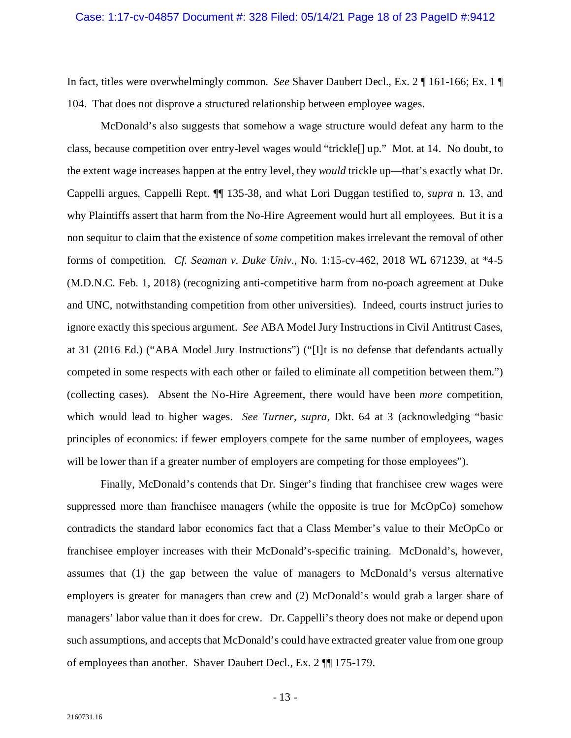In fact, titles were overwhelmingly common. *See* Shaver Daubert Decl., Ex. 2 ¶ 161-166; Ex. 1 ¶ 104. That does not disprove a structured relationship between employee wages.

McDonald's also suggests that somehow a wage structure would defeat any harm to the class, because competition over entry-level wages would "trickle[] up." Mot. at 14. No doubt, to the extent wage increases happen at the entry level, they *would* trickle up—that's exactly what Dr. Cappelli argues, Cappelli Rept. ¶¶ 135-38, and what Lori Duggan testified to, *supra* n. 13, and why Plaintiffs assert that harm from the No-Hire Agreement would hurt all employees. But it is a non sequitur to claim that the existence of *some* competition makes irrelevant the removal of other forms of competition. *Cf. Seaman v. Duke Univ.*, No. 1:15-cv-462, 2018 WL 671239, at \*4-5 (M.D.N.C. Feb. 1, 2018) (recognizing anti-competitive harm from no-poach agreement at Duke and UNC, notwithstanding competition from other universities). Indeed, courts instruct juries to ignore exactly this specious argument. *See* ABA Model Jury Instructions in Civil Antitrust Cases, at 31 (2016 Ed.) ("ABA Model Jury Instructions") ("[I]t is no defense that defendants actually competed in some respects with each other or failed to eliminate all competition between them.") (collecting cases). Absent the No-Hire Agreement, there would have been *more* competition, which would lead to higher wages. *See Turner*, *supra*, Dkt. 64 at 3 (acknowledging "basic principles of economics: if fewer employers compete for the same number of employees, wages will be lower than if a greater number of employers are competing for those employees").

Finally, McDonald's contends that Dr. Singer's finding that franchisee crew wages were suppressed more than franchisee managers (while the opposite is true for McOpCo) somehow contradicts the standard labor economics fact that a Class Member's value to their McOpCo or franchisee employer increases with their McDonald's-specific training. McDonald's, however, assumes that (1) the gap between the value of managers to McDonald's versus alternative employers is greater for managers than crew and (2) McDonald's would grab a larger share of managers' labor value than it does for crew. Dr. Cappelli's theory does not make or depend upon such assumptions, and accepts that McDonald's could have extracted greater value from one group of employees than another. Shaver Daubert Decl., Ex. 2 ¶¶ 175-179.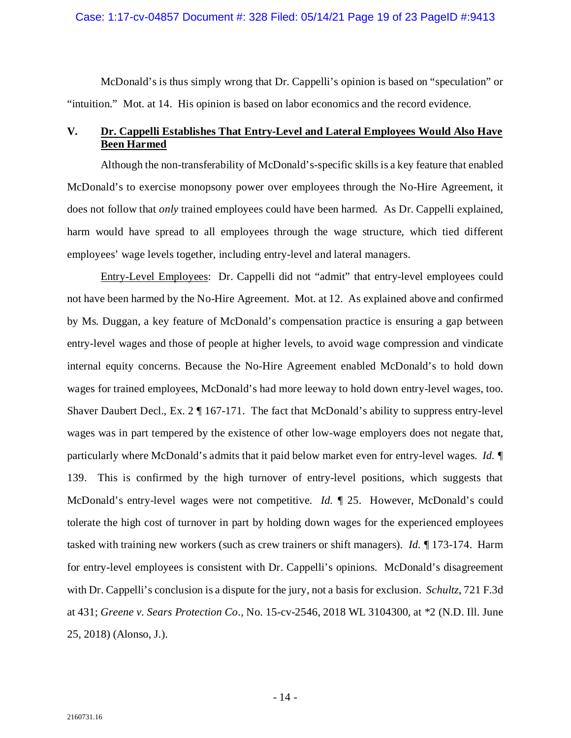#### Case: 1:17-cv-04857 Document #: 328 Filed: 05/14/21 Page 19 of 23 PageID #:9413

McDonald's is thus simply wrong that Dr. Cappelli's opinion is based on "speculation" or "intuition." Mot. at 14. His opinion is based on labor economics and the record evidence.

### <span id="page-18-0"></span>**V. Dr. Cappelli Establishes That Entry-Level and Lateral Employees Would Also Have Been Harmed**

Although the non-transferability of McDonald's-specific skills is a key feature that enabled McDonald's to exercise monopsony power over employees through the No-Hire Agreement, it does not follow that *only* trained employees could have been harmed. As Dr. Cappelli explained, harm would have spread to all employees through the wage structure, which tied different employees' wage levels together, including entry-level and lateral managers.

Entry-Level Employees: Dr. Cappelli did not "admit" that entry-level employees could not have been harmed by the No-Hire Agreement. Mot. at 12. As explained above and confirmed by Ms. Duggan, a key feature of McDonald's compensation practice is ensuring a gap between entry-level wages and those of people at higher levels, to avoid wage compression and vindicate internal equity concerns. Because the No-Hire Agreement enabled McDonald's to hold down wages for trained employees, McDonald's had more leeway to hold down entry-level wages, too. Shaver Daubert Decl., Ex. 2 ¶ 167-171. The fact that McDonald's ability to suppress entry-level wages was in part tempered by the existence of other low-wage employers does not negate that, particularly where McDonald's admits that it paid below market even for entry-level wages. *Id. ¶* 139. This is confirmed by the high turnover of entry-level positions, which suggests that McDonald's entry-level wages were not competitive. *Id. ¶* 25. However, McDonald's could tolerate the high cost of turnover in part by holding down wages for the experienced employees tasked with training new workers (such as crew trainers or shift managers). *Id. ¶* 173-174. Harm for entry-level employees is consistent with Dr. Cappelli's opinions. McDonald's disagreement with Dr. Cappelli's conclusion is a dispute for the jury, not a basis for exclusion. *Schultz*, 721 F.3d at 431; *Greene v. Sears Protection Co*., No. 15-cv-2546, 2018 WL 3104300, at \*2 (N.D. Ill. June 25, 2018) (Alonso, J.).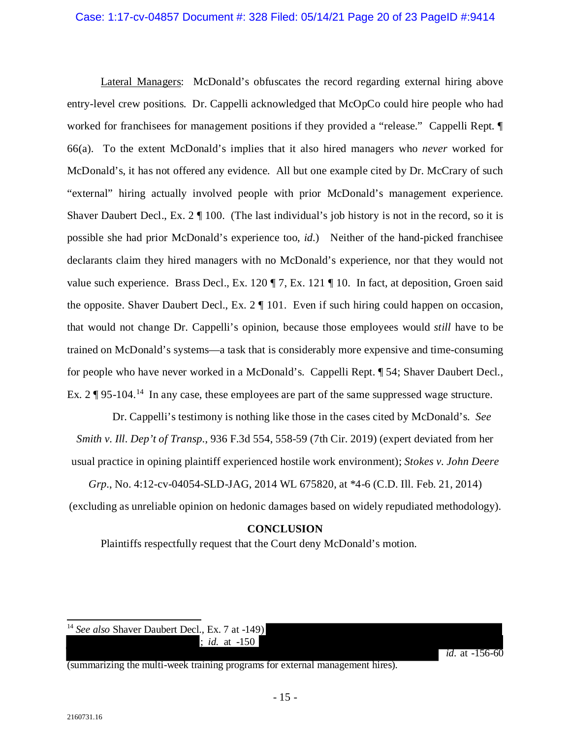#### Case: 1:17-cv-04857 Document #: 328 Filed: 05/14/21 Page 20 of 23 PageID #:9414

Lateral Managers: McDonald's obfuscates the record regarding external hiring above entry-level crew positions. Dr. Cappelli acknowledged that McOpCo could hire people who had worked for franchisees for management positions if they provided a "release." Cappelli Rept.  $\P$ 66(a). To the extent McDonald's implies that it also hired managers who *never* worked for McDonald's, it has not offered any evidence. All but one example cited by Dr. McCrary of such "external" hiring actually involved people with prior McDonald's management experience. Shaver Daubert Decl., Ex.  $2 \parallel 100$ . (The last individual's job history is not in the record, so it is possible she had prior McDonald's experience too, *id.*) Neither of the hand-picked franchisee declarants claim they hired managers with no McDonald's experience, nor that they would not value such experience. Brass Decl., Ex. 120  $\P$  7, Ex. 121  $\P$  10. In fact, at deposition, Groen said the opposite. Shaver Daubert Decl., Ex. 2 ¶ 101. Even if such hiring could happen on occasion, that would not change Dr. Cappelli's opinion, because those employees would *still* have to be trained on McDonald's systems—a task that is considerably more expensive and time-consuming for people who have never worked in a McDonald's. Cappelli Rept. ¶ 54; Shaver Daubert Decl., Ex.  $2 \P 95\text{-}104$ .<sup>[14](#page-19-1)</sup> In any case, these employees are part of the same suppressed wage structure.

Dr. Cappelli's testimony is nothing like those in the cases cited by McDonald's. *See Smith v. Ill. Dep't of Transp.*, 936 F.3d 554, 558-59 (7th Cir. 2019) (expert deviated from her usual practice in opining plaintiff experienced hostile work environment); *Stokes v. John Deere* 

<span id="page-19-0"></span>*Grp.*, No. 4:12-cv-04054-SLD-JAG, 2014 WL 675820, at \*4-6 (C.D. Ill. Feb. 21, 2014) (excluding as unreliable opinion on hedonic damages based on widely repudiated methodology).

### **CONCLUSION**

Plaintiffs respectfully request that the Court deny McDonald's motion.

<span id="page-19-1"></span> $\overline{\phantom{a}}$ <sup>14</sup> See also Shaver Daubert Decl., Ex. 7 at -149) ; *id.* at -150

(summarizing the multi-week training programs for external management hires).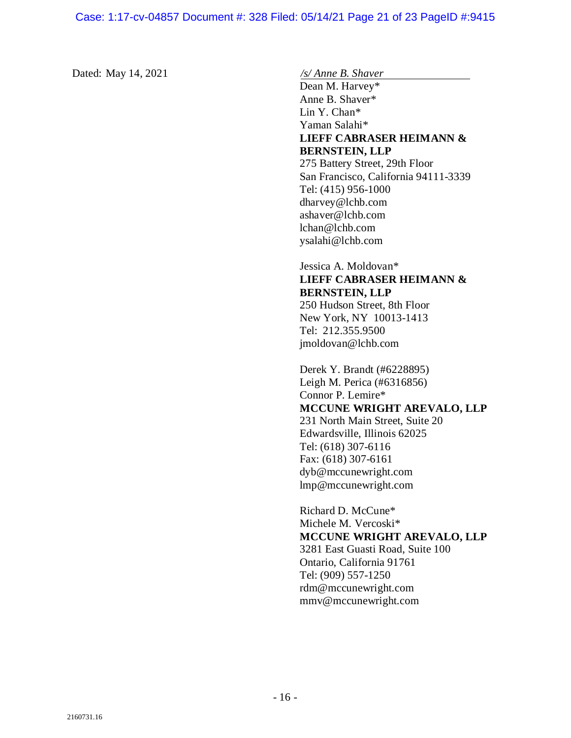Dated: May 14, 2021 */s/ Anne B. Shaver*

Dean M. Harvey\* Anne B. Shaver\* Lin Y. Chan\* Yaman Salahi\* **LIEFF CABRASER HEIMANN & BERNSTEIN, LLP** 275 Battery Street, 29th Floor San Francisco, California 94111-3339 Tel: (415) 956-1000 dharvey@lchb.com ashaver@lchb.com lchan@lchb.com ysalahi@lchb.com

## Jessica A. Moldovan\* **LIEFF CABRASER HEIMANN & BERNSTEIN, LLP**

250 Hudson Street, 8th Floor New York, NY 10013-1413 Tel: 212.355.9500 jmoldovan@lchb.com

Derek Y. Brandt (#6228895) Leigh M. Perica (#6316856) Connor P. Lemire\* **MCCUNE WRIGHT AREVALO, LLP** 231 North Main Street, Suite 20 Edwardsville, Illinois 62025 Tel: (618) 307-6116 Fax: (618) 307-6161 dyb@mccunewright.com lmp@mccunewright.com

Richard D. McCune\* Michele M. Vercoski\* **MCCUNE WRIGHT AREVALO, LLP** 3281 East Guasti Road, Suite 100 Ontario, California 91761 Tel: (909) 557-1250 rdm@mccunewright.com mmv@mccunewright.com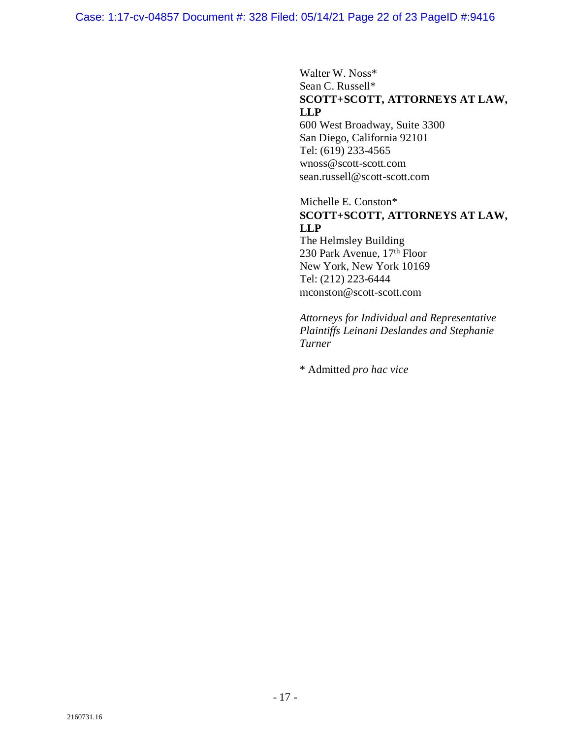# Walter W. Noss\* Sean C. Russell\* **SCOTT+SCOTT, ATTORNEYS AT LAW, LLP**

600 West Broadway, Suite 3300 San Diego, California 92101 Tel: (619) 233-4565 wnoss@scott-scott.com sean.russell@scott-scott.com

### Michelle E. Conston\* **SCOTT+SCOTT, ATTORNEYS AT LAW, LLP** The Helmsley Building

230 Park Avenue, 17th Floor New York, New York 10169 Tel: (212) 223-6444 mconston@scott-scott.com

*Attorneys for Individual and Representative Plaintiffs Leinani Deslandes and Stephanie Turner*

\* Admitted *pro hac vice*